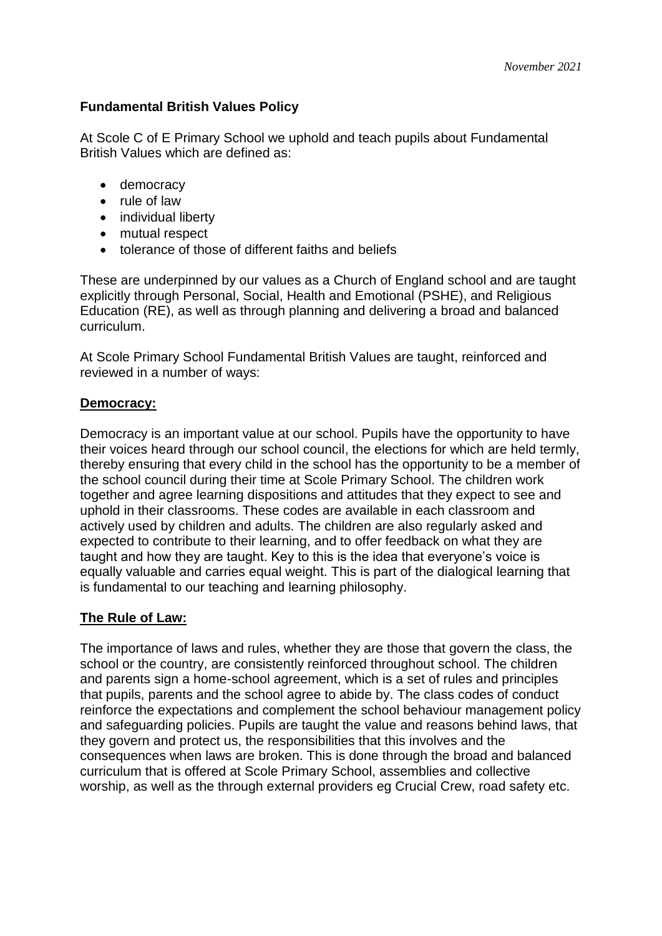# **Fundamental British Values Policy**

At Scole C of E Primary School we uphold and teach pupils about Fundamental British Values which are defined as:

- democracy
- rule of law
- individual liberty
- mutual respect
- tolerance of those of different faiths and beliefs

These are underpinned by our values as a Church of England school and are taught explicitly through Personal, Social, Health and Emotional (PSHE), and Religious Education (RE), as well as through planning and delivering a broad and balanced curriculum.

At Scole Primary School Fundamental British Values are taught, reinforced and reviewed in a number of ways:

# **Democracy:**

Democracy is an important value at our school. Pupils have the opportunity to have their voices heard through our school council, the elections for which are held termly, thereby ensuring that every child in the school has the opportunity to be a member of the school council during their time at Scole Primary School. The children work together and agree learning dispositions and attitudes that they expect to see and uphold in their classrooms. These codes are available in each classroom and actively used by children and adults. The children are also regularly asked and expected to contribute to their learning, and to offer feedback on what they are taught and how they are taught. Key to this is the idea that everyone's voice is equally valuable and carries equal weight. This is part of the dialogical learning that is fundamental to our teaching and learning philosophy.

# **The Rule of Law:**

The importance of laws and rules, whether they are those that govern the class, the school or the country, are consistently reinforced throughout school. The children and parents sign a home-school agreement, which is a set of rules and principles that pupils, parents and the school agree to abide by. The class codes of conduct reinforce the expectations and complement the school behaviour management policy and safeguarding policies. Pupils are taught the value and reasons behind laws, that they govern and protect us, the responsibilities that this involves and the consequences when laws are broken. This is done through the broad and balanced curriculum that is offered at Scole Primary School, assemblies and collective worship, as well as the through external providers eg Crucial Crew, road safety etc.